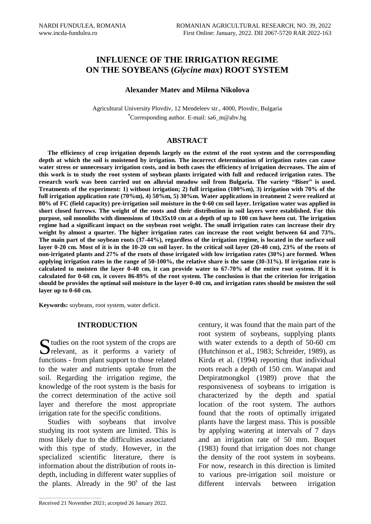# **INFLUENCE OF THE IRRIGATION REGIME ON THE SOYBEANS (***Glycine max***) ROOT SYSTEM**

# **Alexander Matev and Milena Nikolova**

Agricultural University Plovdiv, 12 Mendeleev str., 4000, Plovdiv, Bulgaria **\***Corresponding author. E-mail: sa6\_m@abv.bg

## **ABSTRACT**

**The efficiency of crop irrigation depends largely on the extent of the root system and the corresponding depth at which the soil is moistened by irrigation. The incorrect determination of irrigation rates can cause water stress or unnecessary irrigation costs, and in both cases the efficiency of irrigation decreases. The aim of this work is to study the root system of soybean plants irrigated with full and reduced irrigation rates. The research work was been carried out on alluvial meadow soil from Bulgaria. The variety "Biser" is used. Treatments of the experiment: 1) without irrigation; 2) full irrigation (100%m), 3) irrigation with 70% of the full irrigation application rate (70%m), 4) 50%m, 5) 30%m. Water applications in treatment 2 were realized at 80% of FC (field capacity) pre-irrigation soil moisture in the 0-60 cm soil layer. Irrigation water was applied in short closed furrows. The weight of the roots and their distribution in soil layers were established. For this purpose, soil monoliths with dimensions of 10x35x10 cm at a depth of up to 100 cm have been cut. The irrigation regime had a significant impact on the soybean root weight. The small irrigation rates can increase their dry weight by almost a quarter. The higher irrigation rates can increase the root weight between 64 and 73%. The main part of the soybean roots (37-44%), regardless of the irrigation regime, is located in the surface soil layer 0-20 cm. Most of it is in the 10-20 cm soil layer. In the critical soil layer (20-40 cm), 23% of the roots of non-irrigated plants and 27% of the roots of those irrigated with low irrigation rates (30%) are formed. When applying irrigation rates in the range of 50-100%, the relative share is the same (30-31%). If irrigation rate is calculated to moisten the layer 0-40 cm, it can provide water to 67-70% of the entire root system. If it is calculated for 0-60 cm, it covers 86-89% of the root system. The conclusion is that the criterion for irrigation should be provides the optimal soil moisture in the layer 0-40 cm, and irrigation rates should be moisten the soil layer up to 0-60 cm.**

**Keywords:** soybeans, root system, water deficit.

## **INTRODUCTION**

 $\Gamma$  tudies on the root system of the crops are Sudies on the root system of the crops are<br>
relevant, as it performs a variety of functions - from plant support to those related to the water and nutrients uptake from the soil. Regarding the irrigation regime, the knowledge of the root system is the basis for the correct determination of the active soil layer and therefore the most appropriate irrigation rate for the specific conditions.

Studies with soybeans that involve studying its root system are limited. This is most likely due to the difficulties associated with this type of study. However, in the specialized scientific literature, there is information about the distribution of roots indepth, including in different water supplies of the plants. Already in the  $90<sup>s</sup>$  of the last root system of soybeans, supplying plants with water extends to a depth of 50-60 cm (Hutchinson et al., 1983; Schreider, 1989), as Kirda et al. (1994) reporting that individual roots reach a depth of 150 cm. Wanapat and Detpiratmongkol (1989) prove that the responsiveness of soybeans to irrigation is characterized by the depth and spatial location of the root system. The authors found that the roots of optimally irrigated plants have the largest mass. This is possible by applying watering at intervals of 7 days and an irrigation rate of 50 mm. Boquet (1983) found that irrigation does not change the density of the root system in soybeans. For now, research in this direction is limited to various pre-irrigation soil moisture or different intervals between irrigation

century, it was found that the main part of the

 $\mathcal{L}_\text{max}$  and  $\mathcal{L}_\text{max}$  and  $\mathcal{L}_\text{max}$  and  $\mathcal{L}_\text{max}$ 

Received 21 November 2021; accepted 26 January 2022.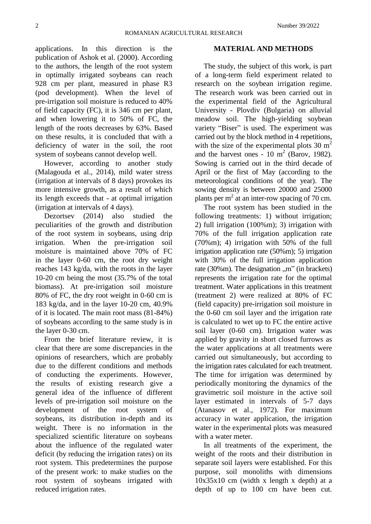applications. In this direction is the publication of Ashok et al. (2000). According to the authors, the length of the root system in optimally irrigated soybeans can reach 928 cm per plant, measured in phase R3 (pod development). When the level of pre-irrigation soil moisture is reduced to 40% of field capacity (FC), it is 346 cm per plant, and when lowering it to 50% of FC, the length of the roots decreases by 63%. Based on these results, it is concluded that with a deficiency of water in the soil, the root system of soybeans cannot develop well.

However, according to another study (Malagouda et al., 2014), mild water stress (irrigation at intervals of 8 days) provokes its more intensive growth, as a result of which its length exceeds that - at optimal irrigation (irrigation at intervals of 4 days).

Dezortsev (2014) also studied the peculiarities of the growth and distribution of the root system in soybeans, using drip irrigation. When the pre-irrigation soil moisture is maintained above 70% of FC in the layer 0-60 cm, the root dry weight reaches 143 kg/da, with the roots in the layer 10-20 cm being the most (35.7% of the total biomass). At pre-irrigation soil moisture 80% of FC, the dry root weight in 0-60 cm is 183 kg/da, and in the layer 10-20 cm, 40.9% of it is located. The main root mass (81-84%) of soybeans according to the same study is in the layer 0-30 cm.

From the brief literature review, it is clear that there are some discrepancies in the opinions of researchers, which are probably due to the different conditions and methods of conducting the experiments. However, the results of existing research give a general idea of the influence of different levels of pre-irrigation soil moisture on the development of the root system of soybeans, its distribution in-depth and its weight. There is no information in the specialized scientific literature on soybeans about the influence of the regulated water deficit (by reducing the irrigation rates) on its root system. This predetermines the purpose of the present work: to make studies on the root system of soybeans irrigated with reduced irrigation rates.

#### **MATERIAL AND METHODS**

The study, the subject of this work, is part of a long-term field experiment related to research on the soybean irrigation regime. The research work was been carried out in the experimental field of the Agricultural University - Plovdiv (Bulgaria) on alluvial meadow soil. The high-yielding soybean variety "Biser" is used. The experiment was carried out by the block method in 4 repetitions, with the size of the experimental plots  $30 \text{ m}^2$ and the harvest ones -  $10 \text{ m}^2$  (Barov, 1982). Sowing is carried out in the third decade of April or the first of May (according to the meteorological conditions of the year). The sowing density is between 20000 and 25000 plants per  $m<sup>2</sup>$  at an inter-row spacing of 70 cm.

The root system has been studied in the following treatments: 1) without irrigation; 2) full irrigation (100%m); 3) irrigation with 70% of the full irrigation application rate (70%m); 4) irrigation with 50% of the full irrigation application rate (50%m); 5) irrigation with 30% of the full irrigation application rate  $(30\%)$ m). The designation "m" (in brackets) represents the irrigation rate for the optimal treatment. Water applications in this treatment (treatment 2) were realized at 80% of FC (field capacity) pre-irrigation soil moisture in the 0-60 cm soil layer and the irrigation rate is calculated to wet up to FC the entire active soil layer (0-60 cm). Irrigation water was applied by gravity in short closed furrows as the water applications at all treatments were carried out simultaneously, but according to the irrigation rates calculated for each treatment. The time for irrigation was determined by periodically monitoring the dynamics of the gravimetric soil moisture in the active soil layer estimated in intervals of 5-7 days (Atanasov et al., 1972). For maximum accuracy in water application, the irrigation water in the experimental plots was measured with a water meter.

In all treatments of the experiment, the weight of the roots and their distribution in separate soil layers were established. For this purpose, soil monoliths with dimensions  $10x35x10$  cm (width x length x depth) at a depth of up to 100 cm have been cut.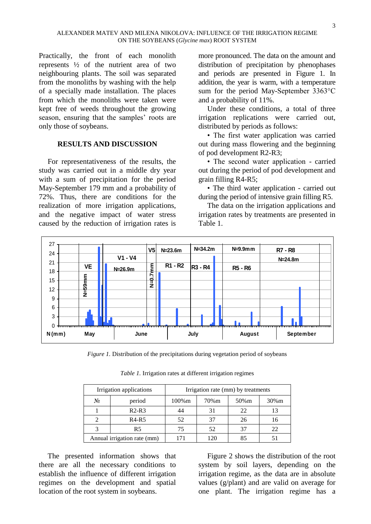Practically, the front of each monolith represents  $\frac{1}{2}$  of the nutrient area of two neighbouring plants. The soil was separated from the monoliths by washing with the help of a specially made installation. The places from which the monoliths were taken were kept free of weeds throughout the growing season, ensuring that the samples' roots are only those of soybeans.

## **RESULTS AND DISCUSSION**

For representativeness of the results, the study was carried out in a middle dry year with a sum of precipitation for the period May-September 179 mm and a probability of 72%. Thus, there are conditions for the realization of more irrigation applications, and the negative impact of water stress caused by the reduction of irrigation rates is

more pronounced. The data on the amount and distribution of precipitation by phenophases and periods are presented in Figure 1. In addition, the year is warm, with a temperature sum for the period May-September 3363°С and a probability of 11%.

Under these conditions, a total of three irrigation replications were carried out, distributed by periods as follows:

• The first water application was carried out during mass flowering and the beginning of pod development R2-R3;

• The second water application - carried out during the period of pod development and grain filling R4-R5;

• The third water application - carried out during the period of intensive grain filling R5.

The data on the irrigation applications and irrigation rates by treatments are presented in Table 1.



*Figure 1.* Distribution of the precipitations during vegetation period of soybeans

| Irrigation applications     |                | Irrigation rate (mm) by treatments |      |       |          |
|-----------------------------|----------------|------------------------------------|------|-------|----------|
| $N_2$                       | period         | 100%m                              | 70%m | 50% m | $30\%$ m |
|                             | $R2-R3$        | 44                                 | 31   | 22    |          |
|                             | $R4-R5$        | 52                                 | 37   | 26    | 16       |
|                             | R <sub>5</sub> | 75                                 | 52   |       | 22       |
| Annual irrigation rate (mm) |                |                                    | 120  |       |          |

*Table 1.* Irrigation rates at different irrigation regimes

The presented information shows that there are all the necessary conditions to establish the influence of different irrigation regimes on the development and spatial location of the root system in soybeans.

Figure 2 shows the distribution of the root system by soil layers, depending on the irrigation regime, as the data are in absolute values (g/plant) and are valid on average for one plant. The irrigation regime has a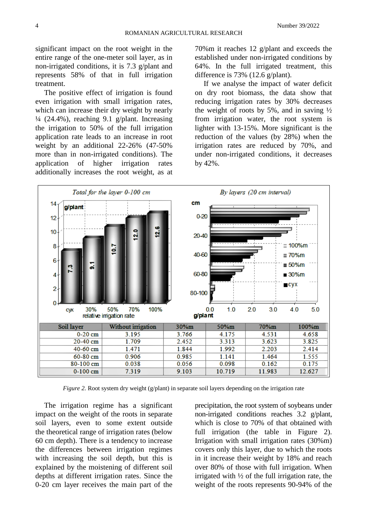significant impact on the root weight in the entire range of the one-meter soil layer, as in non-irrigated conditions, it is 7.3 g/plant and represents 58% of that in full irrigation treatment.

The positive effect of irrigation is found even irrigation with small irrigation rates, which can increase their dry weight by nearly  $\frac{1}{4}$  (24.4%), reaching 9.1 g/plant. Increasing the irrigation to 50% of the full irrigation application rate leads to an increase in root weight by an additional 22-26% (47-50% more than in non-irrigated conditions). The application of higher irrigation rates additionally increases the root weight, as at

70%m it reaches 12 g/plant and exceeds the established under non-irrigated conditions by 64%. In the full irrigated treatment, this difference is 73% (12.6 g/plant).

If we analyse the impact of water deficit on dry root biomass, the data show that reducing irrigation rates by 30% decreases the weight of roots by 5%, and in saving  $\frac{1}{2}$ from irrigation water, the root system is lighter with 13-15%. More significant is the reduction of the values (by 28%) when the irrigation rates are reduced by 70%, and under non-irrigated conditions, it decreases by 42%.



*Figure 2.* Root system dry weight (g/plant) in separate soil layers depending on the irrigation rate

The irrigation regime has a significant impact on the weight of the roots in separate soil layers, even to some extent outside the theoretical range of irrigation rates (below 60 cm depth). There is a tendency to increase the differences between irrigation regimes with increasing the soil depth, but this is explained by the moistening of different soil depths at different irrigation rates. Since the 0-20 cm layer receives the main part of the

precipitation, the root system of soybeans under non-irrigated conditions reaches 3.2 g/plant, which is close to 70% of that obtained with full irrigation (the table in Figure 2). Irrigation with small irrigation rates (30%m) covers only this layer, due to which the roots in it increase their weight by 18% and reach over 80% of those with full irrigation. When irrigated with  $\frac{1}{2}$  of the full irrigation rate, the weight of the roots represents 90-94% of the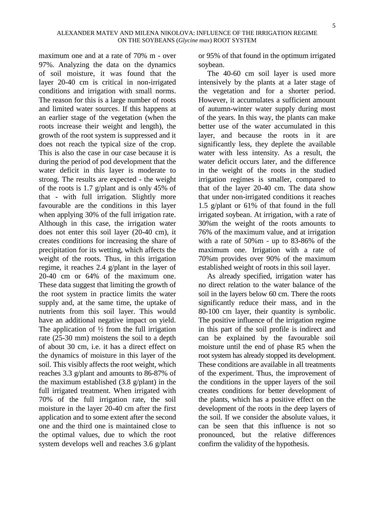maximum one and at a rate of 70% m - over 97%. Analyzing the data on the dynamics of soil moisture, it was found that the layer 20-40 cm is critical in non-irrigated conditions and irrigation with small norms. The reason for this is a large number of roots and limited water sources. If this happens at an earlier stage of the vegetation (when the roots increase their weight and length), the growth of the root system is suppressed and it does not reach the typical size of the crop. This is also the case in our case because it is during the period of pod development that the water deficit in this layer is moderate to strong. The results are expected - the weight of the roots is 1.7 g/plant and is only 45% of that - with full irrigation. Slightly more favourable are the conditions in this layer when applying 30% of the full irrigation rate. Although in this case, the irrigation water does not enter this soil layer (20-40 cm), it creates conditions for increasing the share of precipitation for its wetting, which affects the weight of the roots. Thus, in this irrigation regime, it reaches 2.4 g/plant in the layer of 20-40 cm or 64% of the maximum one. These data suggest that limiting the growth of the root system in practice limits the water supply and, at the same time, the uptake of nutrients from this soil layer. This would have an additional negative impact on yield. The application of  $\frac{1}{2}$  from the full irrigation rate (25-30 mm) moistens the soil to a depth of about 30 cm, i.e. it has a direct effect on the dynamics of moisture in this layer of the soil. This visibly affects the root weight, which reaches 3.3 g/plant and amounts to 86-87% of the maximum established (3.8 g/plant) in the full irrigated treatment. When irrigated with 70% of the full irrigation rate, the soil moisture in the layer 20-40 cm after the first application and to some extent after the second one and the third one is maintained close to the optimal values, due to which the root system develops well and reaches 3.6 g/plant or 95% of that found in the optimum irrigated soybean.

The 40-60 cm soil layer is used more intensively by the plants at a later stage of the vegetation and for a shorter period. However, it accumulates a sufficient amount of autumn-winter water supply during most of the years. In this way, the plants can make better use of the water accumulated in this layer, and because the roots in it are significantly less, they deplete the available water with less intensity. As a result, the water deficit occurs later, and the difference in the weight of the roots in the studied irrigation regimes is smaller, compared to that of the layer 20-40 cm. The data show that under non-irrigated conditions it reaches 1.5 g/plant or 61% of that found in the full irrigated soybean. At irrigation, with a rate of 30%m the weight of the roots amounts to 76% of the maximum value, and at irrigation with a rate of 50%m - up to 83-86% of the maximum one. Irrigation with a rate of 70%m provides over 90% of the maximum established weight of roots in this soil layer.

As already specified, irrigation water has no direct relation to the water balance of the soil in the layers below 60 cm. There the roots significantly reduce their mass, and in the 80-100 cm layer, their quantity is symbolic. The positive influence of the irrigation regime in this part of the soil profile is indirect and can be explained by the favourable soil moisture until the end of phase R5 when the root system has already stopped its development. These conditions are available in all treatments of the experiment. Thus, the improvement of the conditions in the upper layers of the soil creates conditions for better development of the plants, which has a positive effect on the development of the roots in the deep layers of the soil. If we consider the absolute values, it can be seen that this influence is not so pronounced, but the relative differences confirm the validity of the hypothesis.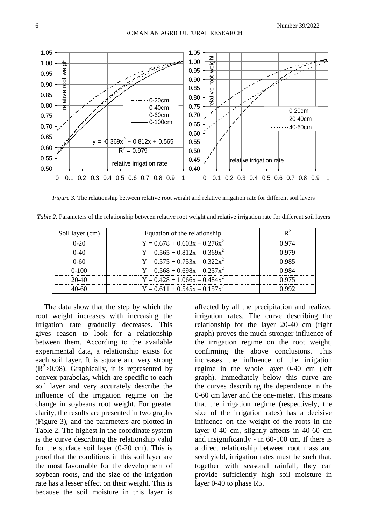

*Figure 3.* The relationship between relative root weight and relative irrigation rate for different soil layers

*Table 2.* Parameters of the relationship between relative root weight and relative irrigation rate for different soil layers

| Soil layer (cm) | Equation of the relationship      |        |
|-----------------|-----------------------------------|--------|
| 0-20            | $Y = 0.678 + 0.603x - 0.276x^2$   |        |
|                 | $Y = 0.565 + 0.812x - 0.369x^2$   |        |
| (1461           | $Y = 0.575 + 0.753x - 0.322x^2$   | ገ ባՋ ና |
| $(1-1()()$      | $Y = 0.568 + 0.698x - 0.257x^{2}$ |        |
| 20-40           | $Y = 0.428 + 1.066x - 0.484x^2$   |        |
|                 | $Y = 0.611 + 0.545x - 0.157x^2$   |        |

The data show that the step by which the root weight increases with increasing the irrigation rate gradually decreases. This gives reason to look for a relationship between them. According to the available experimental data, a relationship exists for each soil layer. It is square and very strong  $(R<sup>2</sup>>0.98)$ . Graphically, it is represented by convex parabolas, which are specific to each soil layer and very accurately describe the influence of the irrigation regime on the change in soybeans root weight. For greater clarity, the results are presented in two graphs (Figure 3), and the parameters are plotted in Table 2. The highest in the coordinate system is the curve describing the relationship valid for the surface soil layer (0-20 cm). This is proof that the conditions in this soil layer are the most favourable for the development of soybean roots, and the size of the irrigation rate has a lesser effect on their weight. This is because the soil moisture in this layer is

affected by all the precipitation and realized irrigation rates. The curve describing the relationship for the layer 20-40 cm (right graph) proves the much stronger influence of the irrigation regime on the root weight, confirming the above conclusions. This increases the influence of the irrigation regime in the whole layer 0-40 cm (left graph). Immediately below this curve are the curves describing the dependence in the 0-60 cm layer and the one-meter. This means that the irrigation regime (respectively, the size of the irrigation rates) has a decisive influence on the weight of the roots in the layer 0-40 cm, slightly affects in 40-60 cm and insignificantly - in 60-100 cm. If there is a direct relationship between root mass and seed yield, irrigation rates must be such that, together with seasonal rainfall, they can provide sufficiently high soil moisture in layer 0-40 to phase R5.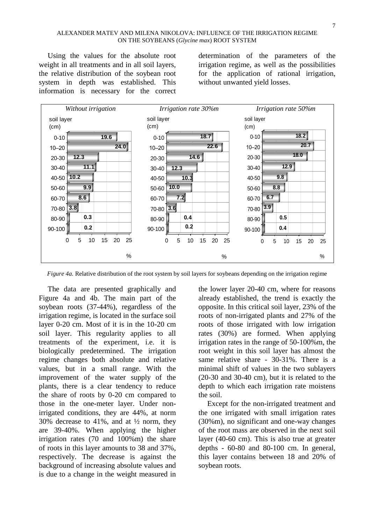#### ALEXANDER MATEV AND MILENA NIKOLOVA: INFLUENCE OF THE IRRIGATION REGIME ON THE SOYBEANS (*Glycine max*) ROOT SYSTEM

Using the values for the absolute root weight in all treatments and in all soil layers, the relative distribution of the soybean root system in depth was established. This information is necessary for the correct determination of the parameters of the irrigation regime, as well as the possibilities for the application of rational irrigation, without unwanted yield losses.



*Figure 4a.* Relative distribution of the root system by soil layers for soybeans depending on the irrigation regime

The data are presented graphically and Figure 4a and 4b. The main part of the soybean roots (37-44%), regardless of the irrigation regime, is located in the surface soil layer 0-20 cm. Most of it is in the 10-20 cm soil layer. This regularity applies to all treatments of the experiment, i.e. it is biologically predetermined. The irrigation regime changes both absolute and relative values, but in a small range. With the improvement of the water supply of the plants, there is a clear tendency to reduce the share of roots by 0-20 cm compared to those in the one-meter layer. Under nonirrigated conditions, they are 44%, at norm 30% decrease to 41%, and at  $\frac{1}{2}$  norm, they are 39-40%. When applying the higher irrigation rates (70 and 100%m) the share of roots in this layer amounts to 38 and 37%, respectively. The decrease is against the background of increasing absolute values and is due to a change in the weight measured in

the lower layer 20-40 cm, where for reasons already established, the trend is exactly the opposite. In this critical soil layer, 23% of the roots of non-irrigated plants and 27% of the roots of those irrigated with low irrigation rates (30%) are formed. When applying irrigation rates in the range of 50-100%m, the root weight in this soil layer has almost the same relative share - 30-31%. There is a minimal shift of values in the two sublayers (20-30 and 30-40 cm), but it is related to the depth to which each irrigation rate moistens the soil.

Except for the non-irrigated treatment and the one irrigated with small irrigation rates (30%m), no significant and one-way changes of the root mass are observed in the next soil layer (40-60 cm). This is also true at greater depths - 60-80 and 80-100 cm. In general, this layer contains between 18 and 20% of soybean roots.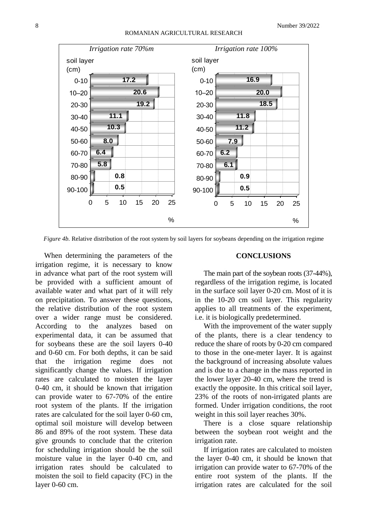

*Figure 4b.* Relative distribution of the root system by soil layers for soybeans depending on the irrigation regime

When determining the parameters of the irrigation regime, it is necessary to know in advance what part of the root system will be provided with a sufficient amount of available water and what part of it will rely on precipitation. To answer these questions, the relative distribution of the root system over a wider range must be considered. According to the analyzes based on experimental data, it can be assumed that for soybeans these are the soil layers 0-40 and 0-60 cm. For both depths, it can be said that the irrigation regime does not significantly change the values. If irrigation rates are calculated to moisten the layer 0-40 cm, it should be known that irrigation can provide water to 67-70% of the entire root system of the plants. If the irrigation rates are calculated for the soil layer 0-60 cm, optimal soil moisture will develop between 86 and 89% of the root system. These data give grounds to conclude that the criterion for scheduling irrigation should be the soil moisture value in the layer 0-40 cm, and irrigation rates should be calculated to moisten the soil to field capacity (FC) in the layer 0-60 cm.

## **CONCLUSIONS**

The main part of the soybean roots (37-44%), regardless of the irrigation regime, is located in the surface soil layer 0-20 cm. Most of it is in the 10-20 cm soil layer. This regularity applies to all treatments of the experiment, i.e. it is biologically predetermined.

With the improvement of the water supply of the plants, there is a clear tendency to reduce the share of roots by 0-20 cm compared to those in the one-meter layer. It is against the background of increasing absolute values and is due to a change in the mass reported in the lower layer 20-40 cm, where the trend is exactly the opposite. In this critical soil layer, 23% of the roots of non-irrigated plants are formed. Under irrigation conditions, the root weight in this soil layer reaches 30%.

There is a close square relationship between the soybean root weight and the irrigation rate.

If irrigation rates are calculated to moisten the layer 0-40 cm, it should be known that irrigation can provide water to 67-70% of the entire root system of the plants. If the irrigation rates are calculated for the soil